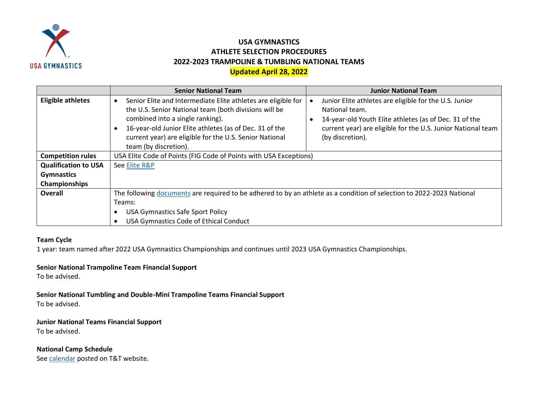

## **USA GYMNASTICS ATHLETE SELECTION PROCEDURES 2022-2023 TRAMPOLINE & TUMBLING NATIONAL TEAMS Updated April 28, 2022**

|                             | <b>Senior National Team</b>                                                                                                                                                                                                                                                                               | <b>Junior National Team</b>                                                                                                                                                                                            |
|-----------------------------|-----------------------------------------------------------------------------------------------------------------------------------------------------------------------------------------------------------------------------------------------------------------------------------------------------------|------------------------------------------------------------------------------------------------------------------------------------------------------------------------------------------------------------------------|
| <b>Eligible athletes</b>    | Senior Elite and Intermediate Elite athletes are eligible for<br>the U.S. Senior National team (both divisions will be<br>combined into a single ranking).<br>16-year-old Junior Elite athletes (as of Dec. 31 of the<br>current year) are eligible for the U.S. Senior National<br>team (by discretion). | Junior Elite athletes are eligible for the U.S. Junior<br>National team.<br>14-year-old Youth Elite athletes (as of Dec. 31 of the<br>current year) are eligible for the U.S. Junior National team<br>(by discretion). |
| <b>Competition rules</b>    | USA Elite Code of Points (FIG Code of Points with USA Exceptions)                                                                                                                                                                                                                                         |                                                                                                                                                                                                                        |
| <b>Qualification to USA</b> | See Elite R&P                                                                                                                                                                                                                                                                                             |                                                                                                                                                                                                                        |
| <b>Gymnastics</b>           |                                                                                                                                                                                                                                                                                                           |                                                                                                                                                                                                                        |
| Championships               |                                                                                                                                                                                                                                                                                                           |                                                                                                                                                                                                                        |
| <b>Overall</b>              | The following documents are required to be adhered to by an athlete as a condition of selection to 2022-2023 National                                                                                                                                                                                     |                                                                                                                                                                                                                        |
|                             | Teams:                                                                                                                                                                                                                                                                                                    |                                                                                                                                                                                                                        |
|                             | <b>USA Gymnastics Safe Sport Policy</b>                                                                                                                                                                                                                                                                   |                                                                                                                                                                                                                        |
|                             | USA Gymnastics Code of Ethical Conduct                                                                                                                                                                                                                                                                    |                                                                                                                                                                                                                        |

## **Team Cycle**

1 year: team named after 2022 USA Gymnastics Championships and continues until 2023 USA Gymnastics Championships.

## **Senior National Trampoline Team Financial Support**

To be advised.

**Senior National Tumbling and Double-Mini Trampoline Teams Financial Support** To be advised.

**Junior National Teams Financial Support** To be advised.

**National Camp Schedule**

See [calendar](https://usagym.org/PDFs/T&T/T&T%20Program%20Events/22eventcalendar.pdf) posted on T&T website.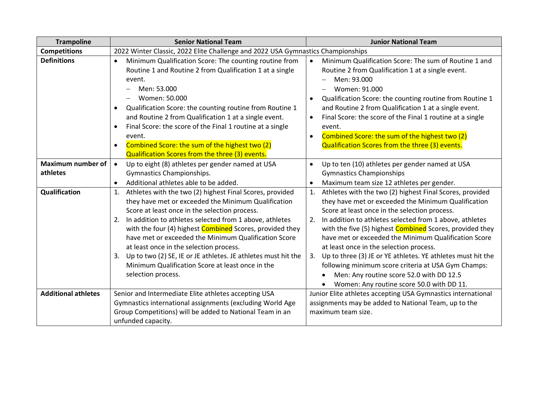| <b>Trampoline</b>                    | <b>Senior National Team</b>                                                                                                                                                                                                                                                                                                                                                                                                                                                                                                                                    | <b>Junior National Team</b>                                                                                                                                                                                                                                                                                                                                                                                                                                                                                                                                                                                                        |
|--------------------------------------|----------------------------------------------------------------------------------------------------------------------------------------------------------------------------------------------------------------------------------------------------------------------------------------------------------------------------------------------------------------------------------------------------------------------------------------------------------------------------------------------------------------------------------------------------------------|------------------------------------------------------------------------------------------------------------------------------------------------------------------------------------------------------------------------------------------------------------------------------------------------------------------------------------------------------------------------------------------------------------------------------------------------------------------------------------------------------------------------------------------------------------------------------------------------------------------------------------|
| <b>Competitions</b>                  | 2022 Winter Classic, 2022 Elite Challenge and 2022 USA Gymnastics Championships                                                                                                                                                                                                                                                                                                                                                                                                                                                                                |                                                                                                                                                                                                                                                                                                                                                                                                                                                                                                                                                                                                                                    |
| <b>Definitions</b>                   | Minimum Qualification Score: The counting routine from<br>$\bullet$<br>Routine 1 and Routine 2 from Qualification 1 at a single<br>event.<br>Men: 53.000<br>Women: 50.000<br>Qualification Score: the counting routine from Routine 1<br>$\bullet$<br>and Routine 2 from Qualification 1 at a single event.<br>Final Score: the score of the Final 1 routine at a single<br>$\bullet$<br>event.<br>Combined Score: the sum of the highest two (2)<br>Qualification Scores from the three (3) events.                                                           | Minimum Qualification Score: The sum of Routine 1 and<br>$\bullet$<br>Routine 2 from Qualification 1 at a single event.<br>Men: 93.000<br>Women: 91.000<br>Qualification Score: the counting routine from Routine 1<br>$\bullet$<br>and Routine 2 from Qualification 1 at a single event.<br>Final Score: the score of the Final 1 routine at a single<br>$\bullet$<br>event.<br>Combined Score: the sum of the highest two (2)<br>$\bullet$<br>Qualification Scores from the three (3) events.                                                                                                                                    |
| <b>Maximum number of</b><br>athletes | Up to eight (8) athletes per gender named at USA<br>$\bullet$<br>Gymnastics Championships.<br>Additional athletes able to be added.<br>$\bullet$                                                                                                                                                                                                                                                                                                                                                                                                               | Up to ten (10) athletes per gender named at USA<br>$\bullet$<br><b>Gymnastics Championships</b><br>Maximum team size 12 athletes per gender.<br>$\bullet$                                                                                                                                                                                                                                                                                                                                                                                                                                                                          |
| Qualification                        | Athletes with the two (2) highest Final Scores, provided<br>1.<br>they have met or exceeded the Minimum Qualification<br>Score at least once in the selection process.<br>In addition to athletes selected from 1 above, athletes<br>2.<br>with the four (4) highest <b>Combined</b> Scores, provided they<br>have met or exceeded the Minimum Qualification Score<br>at least once in the selection process.<br>Up to two (2) SE, IE or JE athletes. JE athletes must hit the<br>3.<br>Minimum Qualification Score at least once in the<br>selection process. | Athletes with the two (2) highest Final Scores, provided<br>1.<br>they have met or exceeded the Minimum Qualification<br>Score at least once in the selection process.<br>In addition to athletes selected from 1 above, athletes<br>2.<br>with the five (5) highest <b>Combined</b> Scores, provided they<br>have met or exceeded the Minimum Qualification Score<br>at least once in the selection process.<br>Up to three (3) JE or YE athletes. YE athletes must hit the<br>3.<br>following minimum score criteria at USA Gym Champs:<br>Men: Any routine score 52.0 with DD 12.5<br>Women: Any routine score 50.0 with DD 11. |
| <b>Additional athletes</b>           | Senior and Intermediate Elite athletes accepting USA<br>Gymnastics international assignments (excluding World Age<br>Group Competitions) will be added to National Team in an<br>unfunded capacity.                                                                                                                                                                                                                                                                                                                                                            | Junior Elite athletes accepting USA Gymnastics international<br>assignments may be added to National Team, up to the<br>maximum team size.                                                                                                                                                                                                                                                                                                                                                                                                                                                                                         |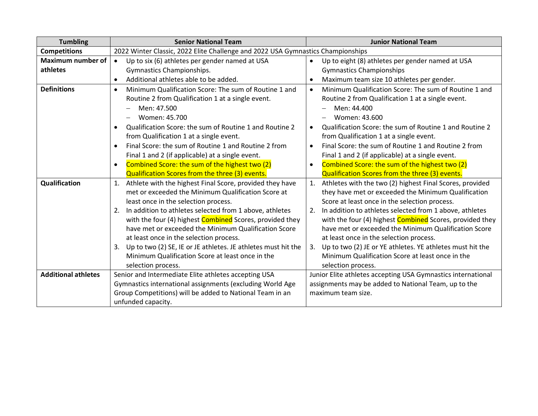| <b>Tumbling</b>            | <b>Senior National Team</b>                                                     | <b>Junior National Team</b>                                          |
|----------------------------|---------------------------------------------------------------------------------|----------------------------------------------------------------------|
| <b>Competitions</b>        | 2022 Winter Classic, 2022 Elite Challenge and 2022 USA Gymnastics Championships |                                                                      |
| <b>Maximum number of</b>   | Up to six (6) athletes per gender named at USA<br>$\bullet$                     | Up to eight (8) athletes per gender named at USA<br>$\bullet$        |
| athletes                   | Gymnastics Championships.                                                       | <b>Gymnastics Championships</b>                                      |
|                            | Additional athletes able to be added.<br>$\bullet$                              | Maximum team size 10 athletes per gender.<br>$\bullet$               |
| <b>Definitions</b>         | Minimum Qualification Score: The sum of Routine 1 and<br>$\bullet$              | Minimum Qualification Score: The sum of Routine 1 and<br>$\bullet$   |
|                            | Routine 2 from Qualification 1 at a single event.                               | Routine 2 from Qualification 1 at a single event.                    |
|                            | Men: 47.500                                                                     | Men: 44.400                                                          |
|                            | Women: 45.700                                                                   | Women: 43.600                                                        |
|                            | Qualification Score: the sum of Routine 1 and Routine 2<br>$\bullet$            | Qualification Score: the sum of Routine 1 and Routine 2<br>$\bullet$ |
|                            | from Qualification 1 at a single event.                                         | from Qualification 1 at a single event.                              |
|                            | Final Score: the sum of Routine 1 and Routine 2 from<br>$\bullet$               | Final Score: the sum of Routine 1 and Routine 2 from<br>$\bullet$    |
|                            | Final 1 and 2 (if applicable) at a single event.                                | Final 1 and 2 (if applicable) at a single event.                     |
|                            | Combined Score: the sum of the highest two (2)<br>$\bullet$                     | Combined Score: the sum of the highest two (2)<br>$\bullet$          |
|                            | Qualification Scores from the three (3) events.                                 | Qualification Scores from the three (3) events.                      |
| Qualification              | Athlete with the highest Final Score, provided they have<br>1.                  | Athletes with the two (2) highest Final Scores, provided<br>1.       |
|                            | met or exceeded the Minimum Qualification Score at                              | they have met or exceeded the Minimum Qualification                  |
|                            | least once in the selection process.                                            | Score at least once in the selection process.                        |
|                            | In addition to athletes selected from 1 above, athletes<br>2.                   | In addition to athletes selected from 1 above, athletes<br>2.        |
|                            | with the four (4) highest Combined Scores, provided they                        | with the four (4) highest Combined Scores, provided they             |
|                            | have met or exceeded the Minimum Qualification Score                            | have met or exceeded the Minimum Qualification Score                 |
|                            | at least once in the selection process.                                         | at least once in the selection process.                              |
|                            | Up to two (2) SE, IE or JE athletes. JE athletes must hit the<br>3.             | 3.<br>Up to two (2) JE or YE athletes. YE athletes must hit the      |
|                            | Minimum Qualification Score at least once in the                                | Minimum Qualification Score at least once in the                     |
|                            | selection process.                                                              | selection process.                                                   |
| <b>Additional athletes</b> | Senior and Intermediate Elite athletes accepting USA                            | Junior Elite athletes accepting USA Gymnastics international         |
|                            | Gymnastics international assignments (excluding World Age                       | assignments may be added to National Team, up to the                 |
|                            | Group Competitions) will be added to National Team in an                        | maximum team size.                                                   |
|                            | unfunded capacity.                                                              |                                                                      |